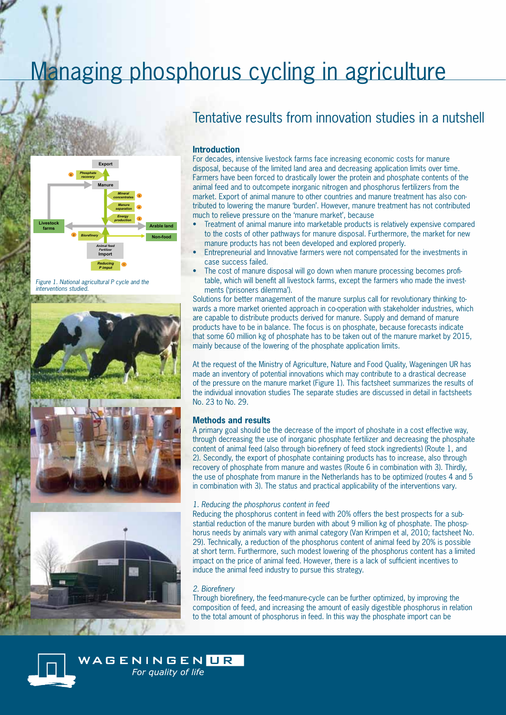# Managing phosphorus cycling in agriculture



*Figure 1. National agricultural P cycle and the interventions studied.* 



## Tentative results from innovation studies in a nutshell

#### **Introduction**

For decades, intensive livestock farms face increasing economic costs for manure disposal, because of the limited land area and decreasing application limits over time. Farmers have been forced to drastically lower the protein and phosphate contents of the animal feed and to outcompete inorganic nitrogen and phosphorus fertilizers from the market. Export of animal manure to other countries and manure treatment has also contributed to lowering the manure 'burden'. However, manure treatment has not contributed much to relieve pressure on the 'manure market', because

- Treatment of animal manure into marketable products is relatively expensive compared to the costs of other pathways for manure disposal. Furthermore, the market for new manure products has not been developed and explored properly.
- Entrepreneurial and Innovative farmers were not compensated for the investments in case success failed.
- The cost of manure disposal will go down when manure processing becomes profitable, which will benefit all livestock farms, except the farmers who made the investments ('prisoners dilemma').

Solutions for better management of the manure surplus call for revolutionary thinking towards a more market oriented approach in co-operation with stakeholder industries, which are capable to distribute products derived for manure. Supply and demand of manure products have to be in balance. The focus is on phosphate, because forecasts indicate that some 60 million kg of phosphate has to be taken out of the manure market by 2015, mainly because of the lowering of the phosphate application limits.

At the request of the Ministry of Agriculture, Nature and Food Quality, Wageningen UR has made an inventory of potential innovations which may contribute to a drastical decrease of the pressure on the manure market (Figure 1). This factsheet summarizes the results of the individual innovation studies The separate studies are discussed in detail in factsheets No. 23 to No. 29.

### **Methods and results**

A primary goal should be the decrease of the import of phoshate in a cost effective way, through decreasing the use of inorganic phosphate fertilizer and decreasing the phosphate content of animal feed (also through bio-refinery of feed stock ingredients) (Route 1, and 2). Secondly, the export of phosphate containing products has to increase, also through recovery of phosphate from manure and wastes (Route 6 in combination with 3). Thirdly, the use of phosphate from manure in the Netherlands has to be optimized (routes 4 and 5 in combination with 3). The status and practical applicability of the interventions vary.

#### *1. Reducing the phosphorus content in feed*

Reducing the phosphorus content in feed with 20% offers the best prospects for a substantial reduction of the manure burden with about 9 million kg of phosphate. The phosphorus needs by animals vary with animal category (Van Krimpen et al, 2010; factsheet No. 29). Technically, a reduction of the phosphorus content of animal feed by 20% is possible at short term. Furthermore, such modest lowering of the phosphorus content has a limited impact on the price of animal feed. However, there is a lack of sufficient incentives to induce the animal feed industry to pursue this strategy.

#### *2. Biorefinery*

Through biorefinery, the feed-manure-cycle can be further optimized, by improving the composition of feed, and increasing the amount of easily digestible phosphorus in relation to the total amount of phosphorus in feed. In this way the phosphate import can be



WAGENINGEN <mark>UR</mark> For quality of life